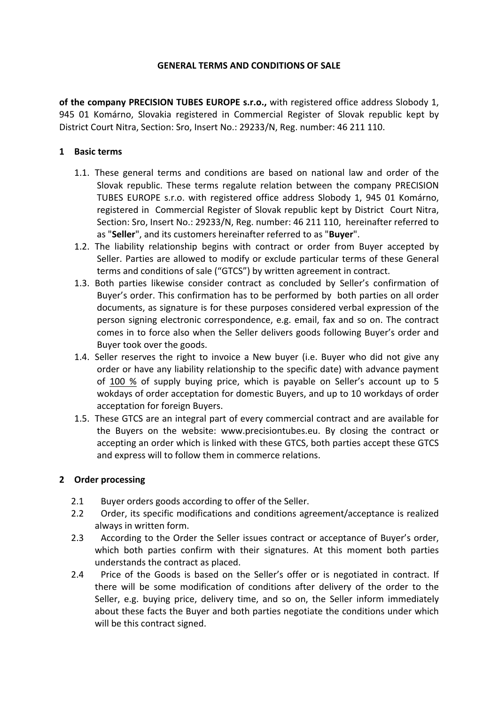### **GENERAL TERMS AND CONDITIONS OF SALE**

of the company PRECISION TUBES EUROPE s.r.o., with registered office address Slobody 1, 945 01 Komárno, Slovakia registered in Commercial Register of Slovak republic kept by District Court Nitra, Section: Sro, Insert No.: 29233/N, Reg. number: 46 211 110.

## **1 Basic terms**

- 1.1. These general terms and conditions are based on national law and order of the Slovak republic. These terms regalute relation between the company PRECISION TUBES EUROPE s.r.o. with registered office address Slobody 1, 945 01 Komárno, registered in Commercial Register of Slovak republic kept by District Court Nitra, Section: Sro, Insert No.: 29233/N, Reg. number: 46 211 110, hereinafter referred to as "**Seller**", and its customers hereinafter referred to as "**Buver**".
- 1.2. The liability relationship begins with contract or order from Buyer accepted by Seller. Parties are allowed to modify or exclude particular terms of these General terms and conditions of sale ("GTCS") by written agreement in contract.
- 1.3. Both parties likewise consider contract as concluded by Seller's confirmation of Buyer's order. This confirmation has to be performed by both parties on all order documents, as signature is for these purposes considered verbal expression of the person signing electronic correspondence, e.g. email, fax and so on. The contract comes in to force also when the Seller delivers goods following Buyer's order and Buyer took over the goods.
- 1.4. Seller reserves the right to invoice a New buyer (i.e. Buyer who did not give any order or have any liability relationship to the specific date) with advance payment of 100 % of supply buying price, which is payable on Seller's account up to 5 wokdays of order acceptation for domestic Buyers, and up to 10 workdays of order acceptation for foreign Buyers.
- 1.5. These GTCS are an integral part of every commercial contract and are available for the Buyers on the website: www.precisiontubes.eu. By closing the contract or accepting an order which is linked with these GTCS, both parties accept these GTCS and express will to follow them in commerce relations.

# **2 Order processing**

- 2.1 Buyer orders goods according to offer of the Seller.
- 2.2 Order, its specific modifications and conditions agreement/acceptance is realized always in written form.
- 2.3 According to the Order the Seller issues contract or acceptance of Buyer's order, which both parties confirm with their signatures. At this moment both parties understands the contract as placed.
- 2.4 Price of the Goods is based on the Seller's offer or is negotiated in contract. If there will be some modification of conditions after delivery of the order to the Seller, e.g. buying price, delivery time, and so on, the Seller inform immediately about these facts the Buyer and both parties negotiate the conditions under which will be this contract signed.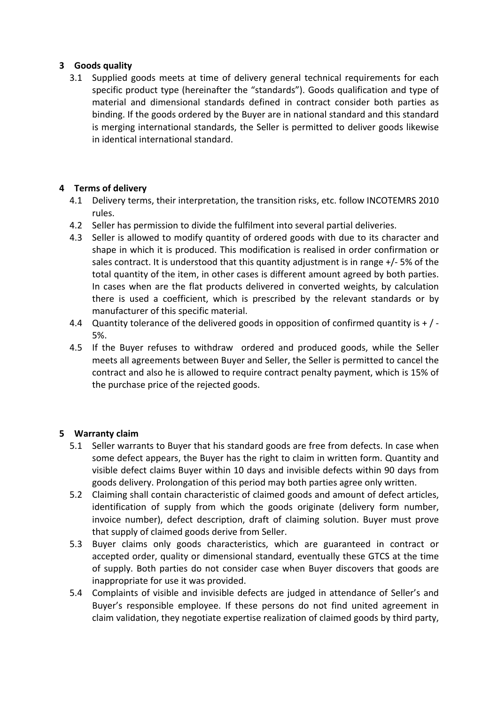# **3 Goods quality**

3.1 Supplied goods meets at time of delivery general technical requirements for each specific product type (hereinafter the "standards"). Goods qualification and type of material and dimensional standards defined in contract consider both parties as binding. If the goods ordered by the Buyer are in national standard and this standard is merging international standards, the Seller is permitted to deliver goods likewise in identical international standard.

## **4 Terms of delivery**

- 4.1 Delivery terms, their interpretation, the transition risks, etc. follow INCOTEMRS 2010 rules.
- 4.2 Seller has permission to divide the fulfilment into several partial deliveries.
- 4.3 Seller is allowed to modify quantity of ordered goods with due to its character and shape in which it is produced. This modification is realised in order confirmation or sales contract. It is understood that this quantity adjustment is in range  $+/-5%$  of the total quantity of the item, in other cases is different amount agreed by both parties. In cases when are the flat products delivered in converted weights, by calculation there is used a coefficient, which is prescribed by the relevant standards or by manufacturer of this specific material.
- 4.4 Quantity tolerance of the delivered goods in opposition of confirmed quantity is  $+$  / -5%.
- 4.5 If the Buyer refuses to withdraw ordered and produced goods, while the Seller meets all agreements between Buyer and Seller, the Seller is permitted to cancel the contract and also he is allowed to require contract penalty payment, which is 15% of the purchase price of the rejected goods.

# **5 Warranty claim**

- 5.1 Seller warrants to Buyer that his standard goods are free from defects. In case when some defect appears, the Buyer has the right to claim in written form. Quantity and visible defect claims Buyer within 10 days and invisible defects within 90 days from goods delivery. Prolongation of this period may both parties agree only written.
- 5.2 Claiming shall contain characteristic of claimed goods and amount of defect articles, identification of supply from which the goods originate (delivery form number, invoice number), defect description, draft of claiming solution. Buyer must prove that supply of claimed goods derive from Seller.
- 5.3 Buyer claims only goods characteristics, which are guaranteed in contract or accepted order, quality or dimensional standard, eventually these GTCS at the time of supply. Both parties do not consider case when Buyer discovers that goods are inappropriate for use it was provided.
- 5.4 Complaints of visible and invisible defects are judged in attendance of Seller's and Buyer's responsible employee. If these persons do not find united agreement in claim validation, they negotiate expertise realization of claimed goods by third party,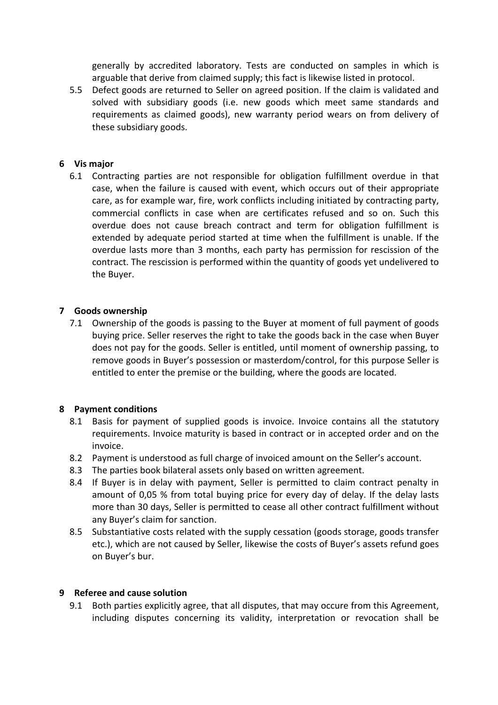generally by accredited laboratory. Tests are conducted on samples in which is arguable that derive from claimed supply; this fact is likewise listed in protocol.

5.5 Defect goods are returned to Seller on agreed position. If the claim is validated and solved with subsidiary goods (i.e. new goods which meet same standards and requirements as claimed goods), new warranty period wears on from delivery of these subsidiary goods.

## **6 Vis major**

6.1 Contracting parties are not responsible for obligation fulfillment overdue in that case, when the failure is caused with event, which occurs out of their appropriate care, as for example war, fire, work conflicts including initiated by contracting party, commercial conflicts in case when are certificates refused and so on. Such this overdue does not cause breach contract and term for obligation fulfillment is extended by adequate period started at time when the fulfillment is unable. If the overdue lasts more than 3 months, each party has permission for rescission of the contract. The rescission is performed within the quantity of goods yet undelivered to the Buyer.

## **7 Goods ownership**

7.1 Ownership of the goods is passing to the Buyer at moment of full payment of goods buying price. Seller reserves the right to take the goods back in the case when Buyer does not pay for the goods. Seller is entitled, until moment of ownership passing, to remove goods in Buyer's possession or masterdom/control, for this purpose Seller is entitled to enter the premise or the building, where the goods are located.

### **8** Payment conditions

- 8.1 Basis for payment of supplied goods is invoice. Invoice contains all the statutory requirements. Invoice maturity is based in contract or in accepted order and on the invoice.
- 8.2 Payment is understood as full charge of invoiced amount on the Seller's account.
- 8.3 The parties book bilateral assets only based on written agreement.
- 8.4 If Buyer is in delay with payment, Seller is permitted to claim contract penalty in amount of 0,05 % from total buying price for every day of delay. If the delay lasts more than 30 days, Seller is permitted to cease all other contract fulfillment without any Buyer's claim for sanction.
- 8.5 Substantiative costs related with the supply cessation (goods storage, goods transfer etc.), which are not caused by Seller, likewise the costs of Buyer's assets refund goes on Buyer's bur.

### **9 Referee and cause solution**

9.1 Both parties explicitly agree, that all disputes, that may occure from this Agreement, including disputes concerning its validity, interpretation or revocation shall be